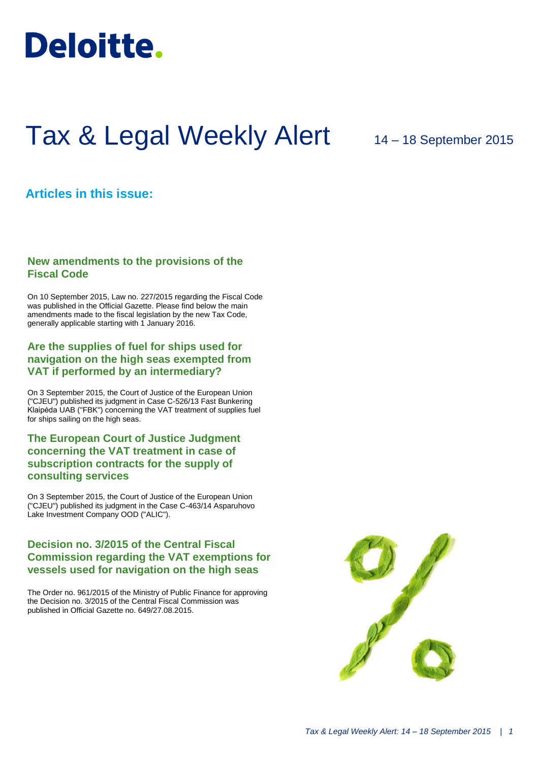

# Tax & Legal Weekly Alert

## 14 – 18 September 2015

## **Articles in this issue:**

## **New amendments to the provisions of the Fiscal Code**

On 10 September 2015, Law no. 227/2015 regarding the Fiscal Code was published in the Official Gazette. Please find below the main amendments made to the fiscal legislation by the new Tax Code, generally applicable starting with 1 January 2016.

## **Are the supplies of fuel for ships used for navigation on the high seas exempted from VAT if performed by an intermediary?**

On 3 September 2015, the Court of Justice of the European Union ("CJEU") published its judgment in Case C-526/13 Fast Bunkering Klaipėda UAB ("FBK") concerning the VAT treatment of supplies fuel for ships sailing on the high seas.

## **The European Court of Justice Judgment concerning the VAT treatment in case of subscription contracts for the supply of consulting services**

On 3 September 2015, the Court of Justice of the European Union ("CJEU") published its judgment in the Case C-463/14 Asparuhovo Lake Investment Company OOD ("ALIC").

## **Decision no. 3/2015 of the Central Fiscal Commission regarding the VAT exemptions for vessels used for navigation on the high seas**

The Order no. 961/2015 of the Ministry of Public Finance for approving the Decision no. 3/2015 of the Central Fiscal Commission was published in Official Gazette no. 649/27.08.2015.

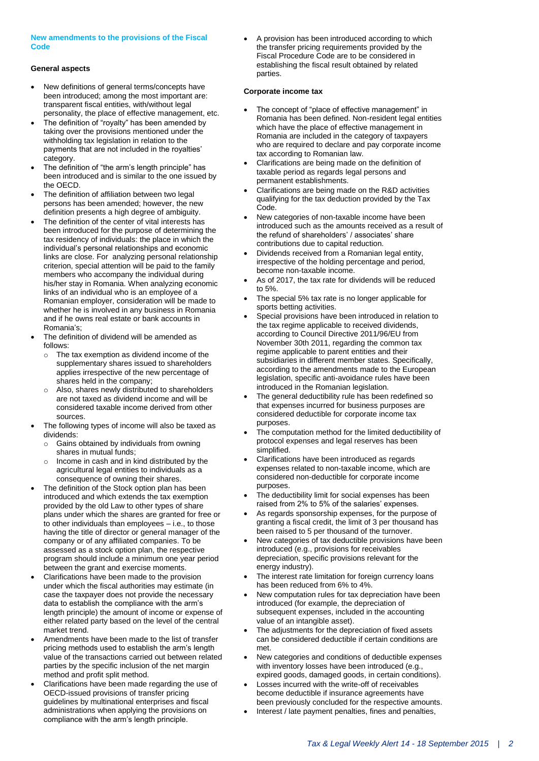#### **New amendments to the provisions of the Fiscal Code**

#### **General aspects**

- New definitions of general terms/concepts have been introduced; among the most important are: transparent fiscal entities, with/without legal personality, the place of effective management, etc.
- The definition of "royalty" has been amended by taking over the provisions mentioned under the withholding tax legislation in relation to the payments that are not included in the royalties' category.
- The definition of "the arm's length principle" has been introduced and is similar to the one issued by the OECD.
- The definition of affiliation between two legal persons has been amended; however, the new definition presents a high degree of ambiguity.
- The definition of the center of vital interests has been introduced for the purpose of determining the tax residency of individuals: the place in which the individual's personal relationships and economic links are close. For analyzing personal relationship criterion, special attention will be paid to the family members who accompany the individual during his/her stay in Romania. When analyzing economic links of an individual who is an employee of a Romanian employer, consideration will be made to whether he is involved in any business in Romania and if he owns real estate or bank accounts in Romania's;
- The definition of dividend will be amended as follows:
	- The tax exemption as dividend income of the supplementary shares issued to shareholders applies irrespective of the new percentage of shares held in the company;
	- o Also, shares newly distributed to shareholders are not taxed as dividend income and will be considered taxable income derived from other sources.
- The following types of income will also be taxed as dividends:
	- o Gains obtained by individuals from owning shares in mutual funds;
	- Income in cash and in kind distributed by the agricultural legal entities to individuals as a consequence of owning their shares.
- The definition of the Stock option plan has been introduced and which extends the tax exemption provided by the old Law to other types of share plans under which the shares are granted for free or to other individuals than employees – i.e., to those having the title of director or general manager of the company or of any affiliated companies. To be assessed as a stock option plan, the respective program should include a minimum one year period between the grant and exercise moments.
- Clarifications have been made to the provision under which the fiscal authorities may estimate (in case the taxpayer does not provide the necessary data to establish the compliance with the arm's length principle) the amount of income or expense of either related party based on the level of the central market trend.
- Amendments have been made to the list of transfer pricing methods used to establish the arm's length value of the transactions carried out between related parties by the specific inclusion of the net margin method and profit split method.
- Clarifications have been made regarding the use of OECD-issued provisions of transfer pricing guidelines by multinational enterprises and fiscal administrations when applying the provisions on compliance with the arm's length principle.

 A provision has been introduced according to which the transfer pricing requirements provided by the Fiscal Procedure Code are to be considered in establishing the fiscal result obtained by related parties.

#### **Corporate income tax**

- The concept of "place of effective management" in Romania has been defined. Non-resident legal entities which have the place of effective management in Romania are included in the category of taxpayers who are required to declare and pay corporate income tax according to Romanian law.
- Clarifications are being made on the definition of taxable period as regards legal persons and permanent establishments.
- Clarifications are being made on the R&D activities qualifying for the tax deduction provided by the Tax Code.
- New categories of non-taxable income have been introduced such as the amounts received as a result of the refund of shareholders' / associates' share contributions due to capital reduction.
- Dividends received from a Romanian legal entity, irrespective of the holding percentage and period, become non-taxable income.
- As of 2017, the tax rate for dividends will be reduced to 5%.
- The special 5% tax rate is no longer applicable for sports betting activities.
- Special provisions have been introduced in relation to the tax regime applicable to received dividends, according to Council Directive 2011/96/EU from November 30th 2011, regarding the common tax regime applicable to parent entities and their subsidiaries in different member states. Specifically, according to the amendments made to the European legislation, specific anti-avoidance rules have been introduced in the Romanian legislation.
- The general deductibility rule has been redefined so that expenses incurred for business purposes are considered deductible for corporate income tax purposes.
- The computation method for the limited deductibility of protocol expenses and legal reserves has been simplified.
- Clarifications have been introduced as regards expenses related to non-taxable income, which are considered non-deductible for corporate income purposes.
- The deductibility limit for social expenses has been raised from 2% to 5% of the salaries' expenses.
- As regards sponsorship expenses, for the purpose of granting a fiscal credit, the limit of 3 per thousand has been raised to 5 per thousand of the turnover.
- New categories of tax deductible provisions have been introduced (e.g., provisions for receivables depreciation, specific provisions relevant for the energy industry).
- The interest rate limitation for foreign currency loans has been reduced from 6% to 4%.
- New computation rules for tax depreciation have been introduced (for example, the depreciation of subsequent expenses, included in the accounting value of an intangible asset).
- The adjustments for the depreciation of fixed assets can be considered deductible if certain conditions are met.
- New categories and conditions of deductible expenses with inventory losses have been introduced (e.g., expired goods, damaged goods, in certain conditions).
- Losses incurred with the write-off of receivables become deductible if insurance agreements have been previously concluded for the respective amounts.
- Interest / late payment penalties, fines and penalties,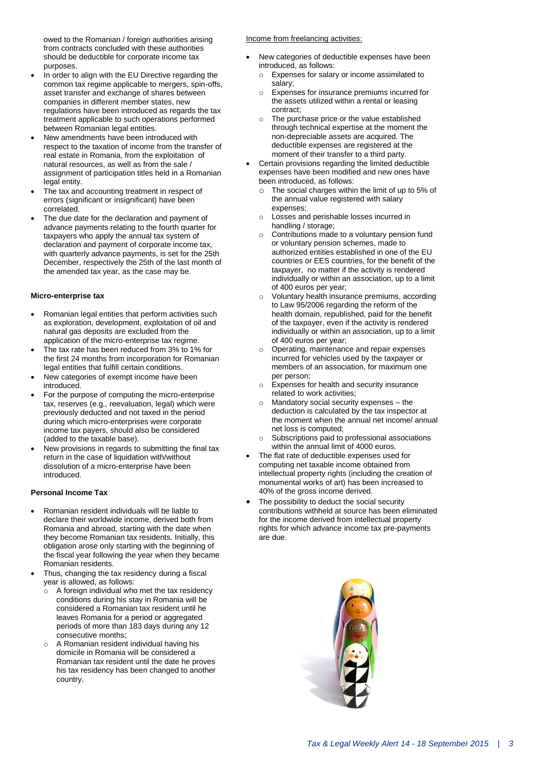owed to the Romanian / foreign authorities arising from contracts concluded with these authorities should be deductible for corporate income tax purposes.

- In order to align with the EU Directive regarding the common tax regime applicable to mergers, spin-offs, asset transfer and exchange of shares between companies in different member states, new regulations have been introduced as regards the tax treatment applicable to such operations performed between Romanian legal entities.
- New amendments have been introduced with respect to the taxation of income from the transfer of real estate in Romania, from the exploitation of natural resources, as well as from the sale / assignment of participation titles held in a Romanian legal entity.
- The tax and accounting treatment in respect of errors (significant or insignificant) have been correlated.
- The due date for the declaration and payment of advance payments relating to the fourth quarter for taxpayers who apply the annual tax system of declaration and payment of corporate income tax, with quarterly advance payments, is set for the 25th December, respectively the 25th of the last month of the amended tax year, as the case may be.

#### **Micro-enterprise tax**

- Romanian legal entities that perform activities such as exploration, development, exploitation of oil and natural gas deposits are excluded from the application of the micro-enterprise tax regime.
- The tax rate has been reduced from 3% to 1% for the first 24 months from incorporation for Romanian legal entities that fulfill certain conditions.
- New categories of exempt income have been introduced.
- For the purpose of computing the micro-enterprise tax, reserves (e.g., reevaluation, legal) which were previously deducted and not taxed in the period during which micro-enterprises were corporate income tax payers, should also be considered (added to the taxable base).
- New provisions in regards to submitting the final tax return in the case of liquidation with/without dissolution of a micro-enterprise have been introduced.

#### **Personal Income Tax**

- Romanian resident individuals will be liable to declare their worldwide income, derived both from Romania and abroad, starting with the date when they become Romanian tax residents. Initially, this obligation arose only starting with the beginning of the fiscal year following the year when they became Romanian residents.
- Thus, changing the tax residency during a fiscal year is allowed, as follows:
	- $\circ$  A foreign individual who met the tax residency conditions during his stay in Romania will be considered a Romanian tax resident until he leaves Romania for a period or aggregated periods of more than 183 days during any 12 consecutive months;
	- A Romanian resident individual having his domicile in Romania will be considered a Romanian tax resident until the date he proves his tax residency has been changed to another country.

#### Income from freelancing activities:

- New categories of deductible expenses have been introduced, as follows:
	- o Expenses for salary or income assimilated to salary;
	- o Expenses for insurance premiums incurred for the assets utilized within a rental or leasing contract;
	- The purchase price or the value established through technical expertise at the moment the non-depreciable assets are acquired. The deductible expenses are registered at the moment of their transfer to a third party.
- Certain provisions regarding the limited deductible expenses have been modified and new ones have been introduced, as follows:
	- The social charges within the limit of up to 5% of the annual value registered with salary expenses;
	- o Losses and perishable losses incurred in handling / storage;
	- o Contributions made to a voluntary pension fund or voluntary pension schemes, made to authorized entities established in one of the EU countries or EES countries, for the benefit of the taxpayer, no matter if the activity is rendered individually or within an association, up to a limit of 400 euros per year;
	- Voluntary health insurance premiums, according to Law 95/2006 regarding the reform of the health domain, republished, paid for the benefit of the taxpayer, even if the activity is rendered individually or within an association, up to a limit of 400 euros per year;
	- Operating, maintenance and repair expenses incurred for vehicles used by the taxpayer or members of an association, for maximum one per person;
	- o Expenses for health and security insurance related to work activities;
	- Mandatory social security expenses  $-$  the deduction is calculated by the tax inspector at the moment when the annual net income/ annual net loss is computed;
	- o Subscriptions paid to professional associations within the annual limit of 4000 euros.
- The flat rate of deductible expenses used for computing net taxable income obtained from intellectual property rights (including the creation of monumental works of art) has been increased to 40% of the gross income derived.
- The possibility to deduct the social security contributions withheld at source has been eliminated for the income derived from intellectual property rights for which advance income tax pre-payments are due.

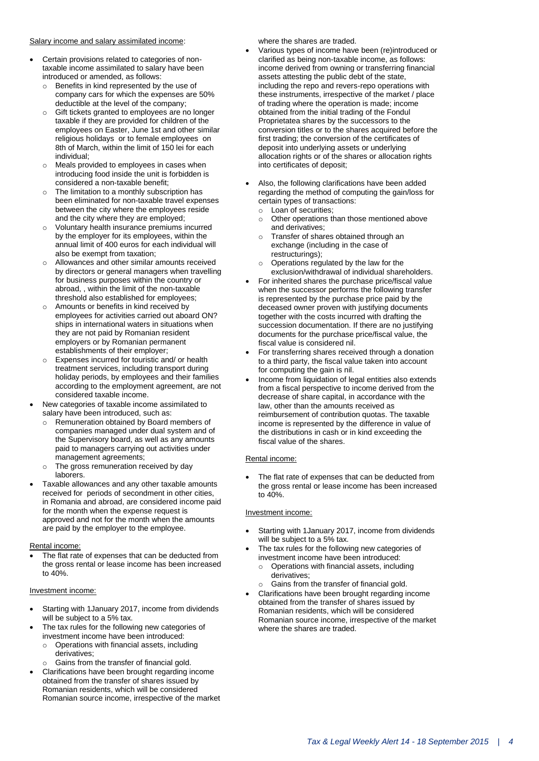#### Salary income and salary assimilated income:

- Certain provisions related to categories of nontaxable income assimilated to salary have been introduced or amended, as follows:
	- o Benefits in kind represented by the use of company cars for which the expenses are 50% deductible at the level of the company;
	- o Gift tickets granted to employees are no longer taxable if they are provided for children of the employees on Easter, June 1st and other similar religious holidays or to female employees on 8th of March, within the limit of 150 lei for each individual;
	- o Meals provided to employees in cases when introducing food inside the unit is forbidden is considered a non-taxable benefit;
	- The limitation to a monthly subscription has been eliminated for non-taxable travel expenses between the city where the employees reside and the city where they are employed;
	- Voluntary health insurance premiums incurred by the employer for its employees, within the annual limit of 400 euros for each individual will also be exempt from taxation;
	- o Allowances and other similar amounts received by directors or general managers when travelling for business purposes within the country or abroad, , within the limit of the non-taxable threshold also established for employees;
	- o Amounts or benefits in kind received by employees for activities carried out aboard ON? ships in international waters in situations when they are not paid by Romanian resident employers or by Romanian permanent establishments of their employer;
	- Expenses incurred for touristic and/ or health treatment services, including transport during holiday periods, by employees and their families according to the employment agreement, are not considered taxable income.
- New categories of taxable income assimilated to salary have been introduced, such as:
	- Remuneration obtained by Board members of companies managed under dual system and of the Supervisory board, as well as any amounts paid to managers carrying out activities under management agreements;
	- o The gross remuneration received by day laborers.
- Taxable allowances and any other taxable amounts received for periods of secondment in other cities, in Romania and abroad, are considered income paid for the month when the expense request is approved and not for the month when the amounts are paid by the employer to the employee.

#### Rental income:

 The flat rate of expenses that can be deducted from the gross rental or lease income has been increased to 40%.

#### Investment income:

- Starting with 1January 2017, income from dividends will be subject to a 5% tax.
- The tax rules for the following new categories of investment income have been introduced:
	- o Operations with financial assets, including derivatives;
	- o Gains from the transfer of financial gold.
- Clarifications have been brought regarding income obtained from the transfer of shares issued by Romanian residents, which will be considered Romanian source income, irrespective of the market

where the shares are traded.

- Various types of income have been (re)introduced or clarified as being non-taxable income, as follows: income derived from owning or transferring financial assets attesting the public debt of the state, including the repo and revers-repo operations with these instruments, irrespective of the market / place of trading where the operation is made; income obtained from the initial trading of the Fondul Proprietatea shares by the successors to the conversion titles or to the shares acquired before the first trading; the conversion of the certificates of deposit into underlying assets or underlying allocation rights or of the shares or allocation rights into certificates of deposit;
- Also, the following clarifications have been added regarding the method of computing the gain/loss for certain types of transactions:
	- o Loan of securities;
	- o Other operations than those mentioned above and derivatives;
	- o Transfer of shares obtained through an exchange (including in the case of restructurings);
	- o Operations regulated by the law for the exclusion/withdrawal of individual shareholders.
- For inherited shares the purchase price/fiscal value when the successor performs the following transfer is represented by the purchase price paid by the deceased owner proven with justifying documents together with the costs incurred with drafting the succession documentation. If there are no justifying documents for the purchase price/fiscal value, the fiscal value is considered nil.
- For transferring shares received through a donation to a third party, the fiscal value taken into account for computing the gain is nil.
- Income from liquidation of legal entities also extends from a fiscal perspective to income derived from the decrease of share capital, in accordance with the law, other than the amounts received as reimbursement of contribution quotas. The taxable income is represented by the difference in value of the distributions in cash or in kind exceeding the fiscal value of the shares.

#### Rental income:

 The flat rate of expenses that can be deducted from the gross rental or lease income has been increased to 40%.

#### Investment income:

- Starting with 1January 2017, income from dividends will be subject to a 5% tax.
- The tax rules for the following new categories of investment income have been introduced:
	- o Operations with financial assets, including derivatives;
	- Gains from the transfer of financial gold.
- Clarifications have been brought regarding income obtained from the transfer of shares issued by Romanian residents, which will be considered Romanian source income, irrespective of the market where the shares are traded.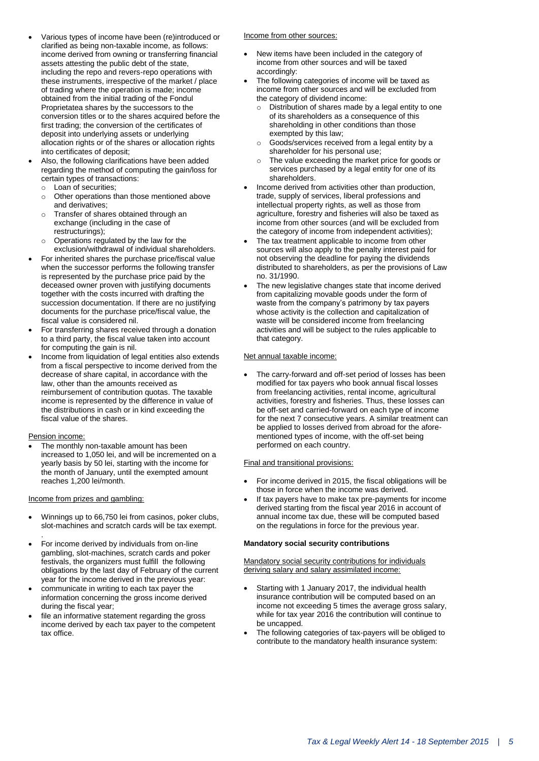- Various types of income have been (re)introduced or clarified as being non-taxable income, as follows: income derived from owning or transferring financial assets attesting the public debt of the state, including the repo and revers-repo operations with these instruments, irrespective of the market / place of trading where the operation is made; income obtained from the initial trading of the Fondul Proprietatea shares by the successors to the conversion titles or to the shares acquired before the first trading; the conversion of the certificates of deposit into underlying assets or underlying allocation rights or of the shares or allocation rights into certificates of deposit;
- Also, the following clarifications have been added regarding the method of computing the gain/loss for certain types of transactions: o Loan of securities;
	- o Other operations than those mentioned above
	- and derivatives; o Transfer of shares obtained through an exchange (including in the case of restructurings);
	- Operations regulated by the law for the exclusion/withdrawal of individual shareholders.
- For inherited shares the purchase price/fiscal value when the successor performs the following transfer is represented by the purchase price paid by the deceased owner proven with justifying documents together with the costs incurred with drafting the succession documentation. If there are no justifying documents for the purchase price/fiscal value, the fiscal value is considered nil.
- For transferring shares received through a donation to a third party, the fiscal value taken into account for computing the gain is nil.
- Income from liquidation of legal entities also extends from a fiscal perspective to income derived from the decrease of share capital, in accordance with the law, other than the amounts received as reimbursement of contribution quotas. The taxable income is represented by the difference in value of the distributions in cash or in kind exceeding the fiscal value of the shares.

#### Pension income:

 The monthly non-taxable amount has been increased to 1,050 lei, and will be incremented on a yearly basis by 50 lei, starting with the income for the month of January, until the exempted amount reaches 1,200 lei/month.

#### Income from prizes and gambling:

- Winnings up to 66,750 lei from casinos, poker clubs, slot-machines and scratch cards will be tax exempt.
- . For income derived by individuals from on-line gambling, slot-machines, scratch cards and poker festivals, the organizers must fulfill the following obligations by the last day of February of the current year for the income derived in the previous year:
- communicate in writing to each tax payer the information concerning the gross income derived during the fiscal year;
- file an informative statement regarding the gross income derived by each tax payer to the competent tax office.

#### Income from other sources:

- New items have been included in the category of income from other sources and will be taxed accordingly:
- The following categories of income will be taxed as income from other sources and will be excluded from the category of dividend income:
	- o Distribution of shares made by a legal entity to one of its shareholders as a consequence of this shareholding in other conditions than those exempted by this law;
	- o Goods/services received from a legal entity by a shareholder for his personal use;
	- o The value exceeding the market price for goods or services purchased by a legal entity for one of its shareholders.
- Income derived from activities other than production, trade, supply of services, liberal professions and intellectual property rights, as well as those from agriculture, forestry and fisheries will also be taxed as income from other sources (and will be excluded from the category of income from independent activities);
- The tax treatment applicable to income from other sources will also apply to the penalty interest paid for not observing the deadline for paying the dividends distributed to shareholders, as per the provisions of Law no. 31/1990.
- The new legislative changes state that income derived from capitalizing movable goods under the form of waste from the company's patrimony by tax payers whose activity is the collection and capitalization of waste will be considered income from freelancing activities and will be subject to the rules applicable to that category.

#### Net annual taxable income:

 The carry-forward and off-set period of losses has been modified for tax payers who book annual fiscal losses from freelancing activities, rental income, agricultural activities, forestry and fisheries. Thus, these losses can be off-set and carried-forward on each type of income for the next 7 consecutive years. A similar treatment can be applied to losses derived from abroad for the aforementioned types of income, with the off-set being performed on each country.

#### Final and transitional provisions:

- For income derived in 2015, the fiscal obligations will be those in force when the income was derived.
- If tax payers have to make tax pre-payments for income derived starting from the fiscal year 2016 in account of annual income tax due, these will be computed based on the regulations in force for the previous year.

#### **Mandatory social security contributions**

Mandatory social security contributions for individuals deriving salary and salary assimilated income:

- Starting with 1 January 2017, the individual health insurance contribution will be computed based on an income not exceeding 5 times the average gross salary, while for tax year 2016 the contribution will continue to be uncapped.
- The following categories of tax-payers will be obliged to contribute to the mandatory health insurance system: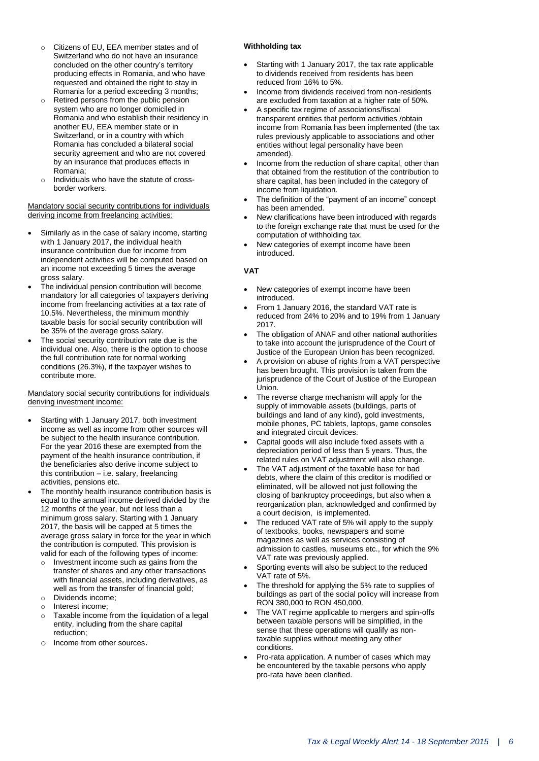- o Citizens of EU, EEA member states and of Switzerland who do not have an insurance concluded on the other country's territory producing effects in Romania, and who have requested and obtained the right to stay in Romania for a period exceeding 3 months;
- o Retired persons from the public pension system who are no longer domiciled in Romania and who establish their residency in another EU, EEA member state or in Switzerland, or in a country with which Romania has concluded a bilateral social security agreement and who are not covered by an insurance that produces effects in Romania;
- Individuals who have the statute of crossborder workers.

Mandatory social security contributions for individuals deriving income from freelancing activities:

- Similarly as in the case of salary income, starting with 1 January 2017, the individual health insurance contribution due for income from independent activities will be computed based on an income not exceeding 5 times the average gross salary.
- The individual pension contribution will become mandatory for all categories of taxpayers deriving income from freelancing activities at a tax rate of 10.5%. Nevertheless, the minimum monthly taxable basis for social security contribution will be 35% of the average gross salary.
- The social security contribution rate due is the individual one. Also, there is the option to choose the full contribution rate for normal working conditions (26.3%), if the taxpayer wishes to contribute more.

Mandatory social security contributions for individuals deriving investment income:

- Starting with 1 January 2017, both investment income as well as income from other sources will be subject to the health insurance contribution. For the year 2016 these are exempted from the payment of the health insurance contribution, if the beneficiaries also derive income subject to this contribution – i.e. salary, freelancing activities, pensions etc.
- The monthly health insurance contribution basis is equal to the annual income derived divided by the 12 months of the year, but not less than a minimum gross salary. Starting with 1 January 2017, the basis will be capped at 5 times the average gross salary in force for the year in which the contribution is computed. This provision is valid for each of the following types of income:
	- o Investment income such as gains from the transfer of shares and any other transactions with financial assets, including derivatives, as well as from the transfer of financial gold;
	- o Dividends income; o Interest income;
	- o Taxable income from the liquidation of a legal entity, including from the share capital reduction;
	- o Income from other sources.

#### **Withholding tax**

- Starting with 1 January 2017, the tax rate applicable to dividends received from residents has been reduced from 16% to 5%.
- Income from dividends received from non-residents are excluded from taxation at a higher rate of 50%.
- A specific tax regime of associations/fiscal transparent entities that perform activities /obtain income from Romania has been implemented (the tax rules previously applicable to associations and other entities without legal personality have been amended).
- Income from the reduction of share capital, other than that obtained from the restitution of the contribution to share capital, has been included in the category of income from liquidation.
- The definition of the "payment of an income" concept has been amended.
- New clarifications have been introduced with regards to the foreign exchange rate that must be used for the computation of withholding tax.
- New categories of exempt income have been introduced.

#### **VAT**

- New categories of exempt income have been introduced.
- From 1 January 2016, the standard VAT rate is reduced from 24% to 20% and to 19% from 1 January 2017.
- The obligation of ANAF and other national authorities to take into account the jurisprudence of the Court of Justice of the European Union has been recognized.
- A provision on abuse of rights from a VAT perspective has been brought. This provision is taken from the jurisprudence of the Court of Justice of the European Union.
- The reverse charge mechanism will apply for the supply of immovable assets (buildings, parts of buildings and land of any kind), gold investments, mobile phones, PC tablets, laptops, game consoles and integrated circuit devices.
- Capital goods will also include fixed assets with a depreciation period of less than 5 years. Thus, the related rules on VAT adjustment will also change.
- The VAT adjustment of the taxable base for bad debts, where the claim of this creditor is modified or eliminated, will be allowed not just following the closing of bankruptcy proceedings, but also when a reorganization plan, acknowledged and confirmed by a court decision, is implemented.
- The reduced VAT rate of 5% will apply to the supply of textbooks, books, newspapers and some magazines as well as services consisting of admission to castles, museums etc., for which the 9% VAT rate was previously applied.
- Sporting events will also be subject to the reduced VAT rate of 5%.
- The threshold for applying the 5% rate to supplies of buildings as part of the social policy will increase from RON 380,000 to RON 450,000.
- The VAT regime applicable to mergers and spin-offs between taxable persons will be simplified, in the sense that these operations will qualify as nontaxable supplies without meeting any other conditions.
- Pro-rata application. A number of cases which may be encountered by the taxable persons who apply pro-rata have been clarified.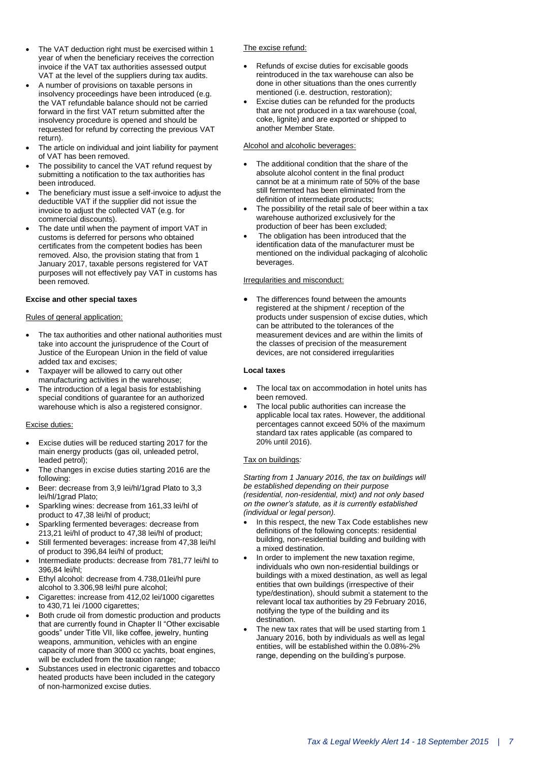- The VAT deduction right must be exercised within 1 year of when the beneficiary receives the correction invoice if the VAT tax authorities assessed output VAT at the level of the suppliers during tax audits.
- A number of provisions on taxable persons in insolvency proceedings have been introduced (e.g. the VAT refundable balance should not be carried forward in the first VAT return submitted after the insolvency procedure is opened and should be requested for refund by correcting the previous VAT return).
- The article on individual and joint liability for payment of VAT has been removed.
- The possibility to cancel the VAT refund request by submitting a notification to the tax authorities has been introduced.
- The beneficiary must issue a self-invoice to adjust the deductible VAT if the supplier did not issue the invoice to adjust the collected VAT (e.g. for commercial discounts).
- The date until when the payment of import VAT in customs is deferred for persons who obtained certificates from the competent bodies has been removed. Also, the provision stating that from 1 January 2017, taxable persons registered for VAT purposes will not effectively pay VAT in customs has been removed.

#### **Excise and other special taxes**

Rules of general application:

- The tax authorities and other national authorities must take into account the jurisprudence of the Court of Justice of the European Union in the field of value added tax and excises;
- Taxpayer will be allowed to carry out other manufacturing activities in the warehouse;
- The introduction of a legal basis for establishing special conditions of guarantee for an authorized warehouse which is also a registered consignor.

#### Excise duties:

- Excise duties will be reduced starting 2017 for the main energy products (gas oil, unleaded petrol, leaded petrol);
- The changes in excise duties starting 2016 are the following:
- Beer: decrease from 3,9 lei/hl/1grad Plato to 3,3 lei/hl/1grad Plato;
- Sparkling wines: decrease from 161,33 lei/hl of product to 47,38 lei/hl of product;
- Sparkling fermented beverages: decrease from 213,21 lei/hl of product to 47,38 lei/hl of product;
- Still fermented beverages: increase from 47,38 lei/hl of product to 396,84 lei/hl of product;
- Intermediate products: decrease from 781,77 lei/hl to 396,84 lei/hl;
- Ethyl alcohol: decrease from 4.738,01lei/hl pure alcohol to 3.306,98 lei/hl pure alcohol;
- Cigarettes: increase from 412,02 lei/1000 cigarettes to 430,71 lei /1000 cigarettes;
- Both crude oil from domestic production and products that are currently found in Chapter II "Other excisable goods" under Title VII, like coffee, jewelry, hunting weapons, ammunition, vehicles with an engine capacity of more than 3000 cc yachts, boat engines, will be excluded from the taxation range;
- Substances used in electronic cigarettes and tobacco heated products have been included in the category of non-harmonized excise duties.

#### The excise refund:

- Refunds of excise duties for excisable goods reintroduced in the tax warehouse can also be done in other situations than the ones currently mentioned (i.e. destruction, restoration);
- Excise duties can be refunded for the products that are not produced in a tax warehouse (coal, coke, lignite) and are exported or shipped to another Member State.

#### Alcohol and alcoholic beverages:

- The additional condition that the share of the absolute alcohol content in the final product cannot be at a minimum rate of 50% of the base still fermented has been eliminated from the definition of intermediate products;
- The possibility of the retail sale of beer within a tax warehouse authorized exclusively for the production of beer has been excluded;
- The obligation has been introduced that the identification data of the manufacturer must be mentioned on the individual packaging of alcoholic beverages.

#### Irregularities and misconduct:

 The differences found between the amounts registered at the shipment / reception of the products under suspension of excise duties, which can be attributed to the tolerances of the measurement devices and are within the limits of the classes of precision of the measurement devices, are not considered irregularities

#### **Local taxes**

- The local tax on accommodation in hotel units has been removed.
- The local public authorities can increase the applicable local tax rates. However, the additional percentages cannot exceed 50% of the maximum standard tax rates applicable (as compared to 20% until 2016).

#### Tax on buildings*:*

*Starting from 1 January 2016, the tax on buildings will be established depending on their purpose (residential, non-residential, mixt) and not only based on the owner's statute, as it is currently established (individual or legal person).*

- In this respect, the new Tax Code establishes new definitions of the following concepts: residential building, non-residential building and building with a mixed destination.
- In order to implement the new taxation regime, individuals who own non-residential buildings or buildings with a mixed destination, as well as legal entities that own buildings (irrespective of their type/destination), should submit a statement to the relevant local tax authorities by 29 February 2016, notifying the type of the building and its destination.
- The new tax rates that will be used starting from 1 January 2016, both by individuals as well as legal entities, will be established within the 0.08%-2% range, depending on the building's purpose.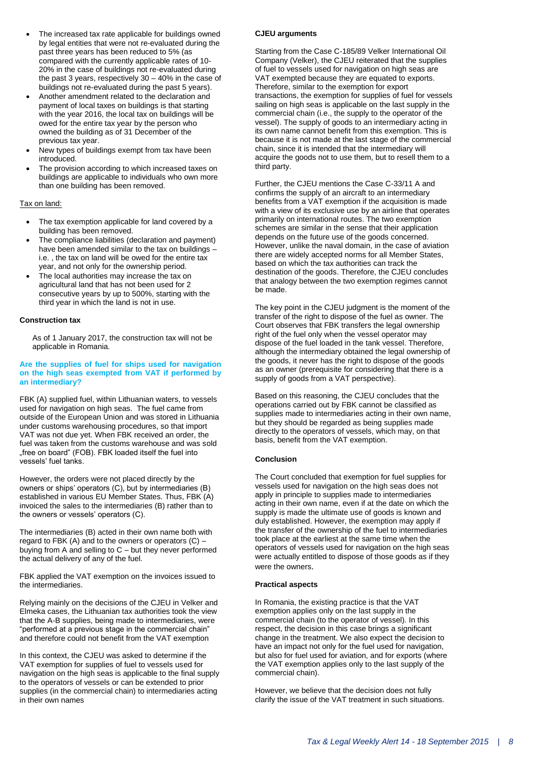- The increased tax rate applicable for buildings owned by legal entities that were not re-evaluated during the past three years has been reduced to 5% (as compared with the currently applicable rates of 10- 20% in the case of buildings not re-evaluated during the past 3 years, respectively 30 – 40% in the case of buildings not re-evaluated during the past 5 years).
- Another amendment related to the declaration and payment of local taxes on buildings is that starting with the year 2016, the local tax on buildings will be owed for the entire tax year by the person who owned the building as of 31 December of the previous tax year.
- New types of buildings exempt from tax have been introduced.
- The provision according to which increased taxes on buildings are applicable to individuals who own more than one building has been removed.

#### Tax on land:

- The tax exemption applicable for land covered by a building has been removed.
- The compliance liabilities (declaration and payment) have been amended similar to the tax on buildings – i.e. , the tax on land will be owed for the entire tax year, and not only for the ownership period.
- The local authorities may increase the tax on agricultural land that has not been used for 2 consecutive years by up to 500%, starting with the third year in which the land is not in use.

#### **Construction tax**

As of 1 January 2017, the construction tax will not be applicable in Romania.

#### **Are the supplies of fuel for ships used for navigation on the high seas exempted from VAT if performed by an intermediary?**

FBK (A) supplied fuel, within Lithuanian waters, to vessels used for navigation on high seas. The fuel came from outside of the European Union and was stored in Lithuania under customs warehousing procedures, so that import VAT was not due yet. When FBK received an order, the fuel was taken from the customs warehouse and was sold "free on board" (FOB). FBK loaded itself the fuel into vessels' fuel tanks.

However, the orders were not placed directly by the owners or ships' operators (C), but by intermediaries (B) established in various EU Member States. Thus, FBK (A) invoiced the sales to the intermediaries (B) rather than to the owners or vessels' operators (C).

The intermediaries (B) acted in their own name both with regard to FBK (A) and to the owners or operators  $(C)$  – buying from A and selling to C – but they never performed the actual delivery of any of the fuel.

FBK applied the VAT exemption on the invoices issued to the intermediaries.

Relying mainly on the decisions of the CJEU in Velker and Elmeka cases, the Lithuanian tax authorities took the view that the A-B supplies, being made to intermediaries, were "performed at a previous stage in the commercial chain" and therefore could not benefit from the VAT exemption

In this context, the CJEU was asked to determine if the VAT exemption for supplies of fuel to vessels used for navigation on the high seas is applicable to the final supply to the operators of vessels or can be extended to prior supplies (in the commercial chain) to intermediaries acting in their own names

#### **CJEU arguments**

Starting from the Case C-185/89 Velker International Oil Company (Velker), the CJEU reiterated that the supplies of fuel to vessels used for navigation on high seas are VAT exempted because they are equated to exports. Therefore, similar to the exemption for export transactions, the exemption for supplies of fuel for vessels sailing on high seas is applicable on the last supply in the commercial chain (i.e., the supply to the operator of the vessel). The supply of goods to an intermediary acting in its own name cannot benefit from this exemption. This is because it is not made at the last stage of the commercial chain, since it is intended that the intermediary will acquire the goods not to use them, but to resell them to a third party.

Further, the CJEU mentions the Case C-33/11 A and confirms the supply of an aircraft to an intermediary benefits from a VAT exemption if the acquisition is made with a view of its exclusive use by an airline that operates primarily on international routes. The two exemption schemes are similar in the sense that their application depends on the future use of the goods concerned. However, unlike the naval domain, in the case of aviation there are widely accepted norms for all Member States, based on which the tax authorities can track the destination of the goods. Therefore, the CJEU concludes that analogy between the two exemption regimes cannot be made.

The key point in the CJEU judgment is the moment of the transfer of the right to dispose of the fuel as owner. The Court observes that FBK transfers the legal ownership right of the fuel only when the vessel operator may dispose of the fuel loaded in the tank vessel. Therefore, although the intermediary obtained the legal ownership of the goods, it never has the right to dispose of the goods as an owner (prerequisite for considering that there is a supply of goods from a VAT perspective).

Based on this reasoning, the CJEU concludes that the operations carried out by FBK cannot be classified as supplies made to intermediaries acting in their own name, but they should be regarded as being supplies made directly to the operators of vessels, which may, on that basis, benefit from the VAT exemption.

#### **Conclusion**

The Court concluded that exemption for fuel supplies for vessels used for navigation on the high seas does not apply in principle to supplies made to intermediaries acting in their own name, even if at the date on which the supply is made the ultimate use of goods is known and duly established. However, the exemption may apply if the transfer of the ownership of the fuel to intermediaries took place at the earliest at the same time when the operators of vessels used for navigation on the high seas were actually entitled to dispose of those goods as if they were the owners.

#### **Practical aspects**

In Romania, the existing practice is that the VAT exemption applies only on the last supply in the commercial chain (to the operator of vessel). In this respect, the decision in this case brings a significant change in the treatment. We also expect the decision to have an impact not only for the fuel used for navigation, but also for fuel used for aviation, and for exports (where the VAT exemption applies only to the last supply of the commercial chain).

However, we believe that the decision does not fully clarify the issue of the VAT treatment in such situations.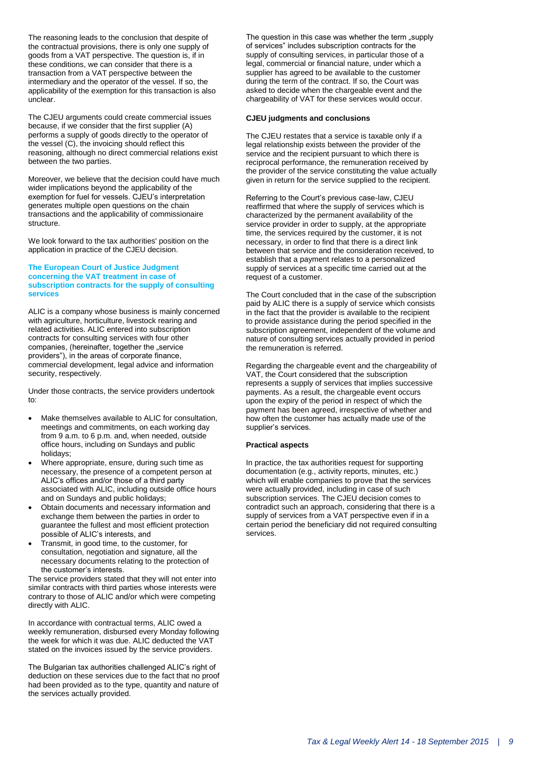The reasoning leads to the conclusion that despite of the contractual provisions, there is only one supply of goods from a VAT perspective. The question is, if in these conditions, we can consider that there is a transaction from a VAT perspective between the intermediary and the operator of the vessel. If so, the applicability of the exemption for this transaction is also unclear.

The CJEU arguments could create commercial issues because, if we consider that the first supplier (A) performs a supply of goods directly to the operator of the vessel (C), the invoicing should reflect this reasoning, although no direct commercial relations exist between the two parties.

Moreover, we believe that the decision could have much wider implications beyond the applicability of the exemption for fuel for vessels. CJEU's interpretation generates multiple open questions on the chain transactions and the applicability of commissionaire structure.

We look forward to the tax authorities' position on the application in practice of the CJEU decision.

#### **The European Court of Justice Judgment concerning the VAT treatment in case of subscription contracts for the supply of consulting services**

ALIC is a company whose business is mainly concerned with agriculture, horticulture, livestock rearing and related activities. ALIC entered into subscription contracts for consulting services with four other companies, (hereinafter, together the "service providers"), in the areas of corporate finance, commercial development, legal advice and information security, respectively.

Under those contracts, the service providers undertook to:

- Make themselves available to ALIC for consultation, meetings and commitments, on each working day from 9 a.m. to 6 p.m. and, when needed, outside office hours, including on Sundays and public holidays;
- Where appropriate, ensure, during such time as necessary, the presence of a competent person at ALIC's offices and/or those of a third party associated with ALIC, including outside office hours and on Sundays and public holidays;
- Obtain documents and necessary information and exchange them between the parties in order to guarantee the fullest and most efficient protection possible of ALIC's interests, and
- Transmit, in good time, to the customer, for consultation, negotiation and signature, all the necessary documents relating to the protection of the customer's interests.

The service providers stated that they will not enter into similar contracts with third parties whose interests were contrary to those of ALIC and/or which were competing directly with ALIC.

In accordance with contractual terms, ALIC owed a weekly remuneration, disbursed every Monday following the week for which it was due. ALIC deducted the VAT stated on the invoices issued by the service providers.

The Bulgarian tax authorities challenged ALIC's right of deduction on these services due to the fact that no proof had been provided as to the type, quantity and nature of the services actually provided.

The question in this case was whether the term "supply of services" includes subscription contracts for the supply of consulting services, in particular those of a legal, commercial or financial nature, under which a supplier has agreed to be available to the customer during the term of the contract. If so, the Court was asked to decide when the chargeable event and the chargeability of VAT for these services would occur.

#### **CJEU judgments and conclusions**

The CJEU restates that a service is taxable only if a legal relationship exists between the provider of the service and the recipient pursuant to which there is reciprocal performance, the remuneration received by the provider of the service constituting the value actually given in return for the service supplied to the recipient.

Referring to the Court's previous case-law, CJEU reaffirmed that where the supply of services which is characterized by the permanent availability of the service provider in order to supply, at the appropriate time, the services required by the customer, it is not necessary, in order to find that there is a direct link between that service and the consideration received, to establish that a payment relates to a personalized supply of services at a specific time carried out at the request of a customer.

The Court concluded that in the case of the subscription paid by ALIC there is a supply of service which consists in the fact that the provider is available to the recipient to provide assistance during the period specified in the subscription agreement, independent of the volume and nature of consulting services actually provided in period the remuneration is referred.

Regarding the chargeable event and the chargeability of VAT, the Court considered that the subscription represents a supply of services that implies successive payments. As a result, the chargeable event occurs upon the expiry of the period in respect of which the payment has been agreed, irrespective of whether and how often the customer has actually made use of the supplier's services.

#### **Practical aspects**

In practice, the tax authorities request for supporting documentation (e.g., activity reports, minutes, etc.) which will enable companies to prove that the services were actually provided, including in case of such subscription services. The CJEU decision comes to contradict such an approach, considering that there is a supply of services from a VAT perspective even if in a certain period the beneficiary did not required consulting services.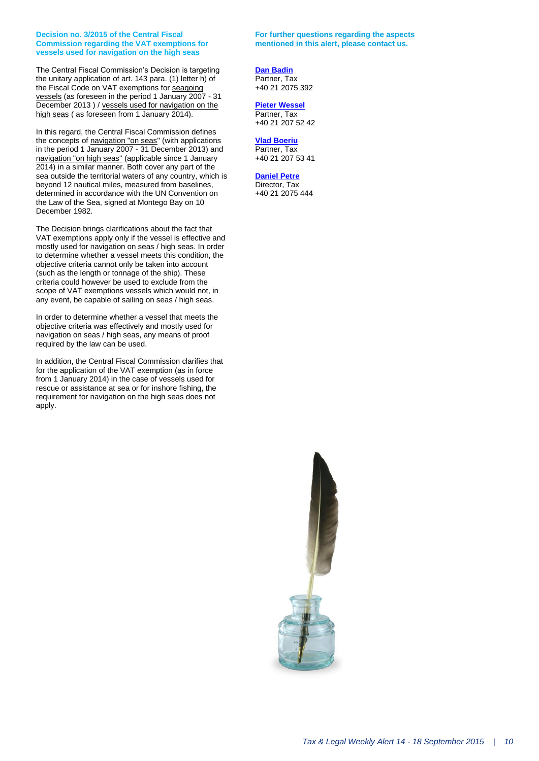#### **Decision no. 3/2015 of the Central Fiscal Commission regarding the VAT exemptions for vessels used for navigation on the high seas**

The Central Fiscal Commission's Decision is targeting the unitary application of art. 143 para. (1) letter h) of the Fiscal Code on VAT exemptions for seagoing vessels (as foreseen in the period 1 January 2007 - 31 December 2013 ) / vessels used for navigation on the high seas ( as foreseen from 1 January 2014).

In this regard, the Central Fiscal Commission defines the concepts of navigation "on seas" (with applications in the period 1 January 2007 - 31 December 2013) and navigation "on high seas" (applicable since 1 January 2014) in a similar manner. Both cover any part of the sea outside the territorial waters of any country, which is beyond 12 nautical miles, measured from baselines, determined in accordance with the UN Convention on the Law of the Sea, signed at Montego Bay on 10 December 1982.

The Decision brings clarifications about the fact that VAT exemptions apply only if the vessel is effective and mostly used for navigation on seas / high seas. In order to determine whether a vessel meets this condition, the objective criteria cannot only be taken into account (such as the length or tonnage of the ship). These criteria could however be used to exclude from the scope of VAT exemptions vessels which would not, in any event, be capable of sailing on seas / high seas.

In order to determine whether a vessel that meets the objective criteria was effectively and mostly used for navigation on seas / high seas, any means of proof required by the law can be used.

In addition, the Central Fiscal Commission clarifies that for the application of the VAT exemption (as in force from 1 January 2014) in the case of vessels used for rescue or assistance at sea or for inshore fishing, the requirement for navigation on the high seas does not apply.

#### **For further questions regarding the aspects mentioned in this alert, please contact us.**

#### **[Dan Badin](mailto:dbadin@deloittece.com)**

Partner, Tax +40 21 2075 392

#### **[Pieter Wessel](mailto:pwessel@deloittece.com)**

Partner, Tax +40 21 207 52 42

#### **[Vlad Boeriu](mailto:vboeriu@deloittece.com)**

Partner, Tax +40 21 207 53 41

#### **[Daniel Petre](mailto:dpetre@deloittece.com)**

Director, Tax +40 21 2075 444